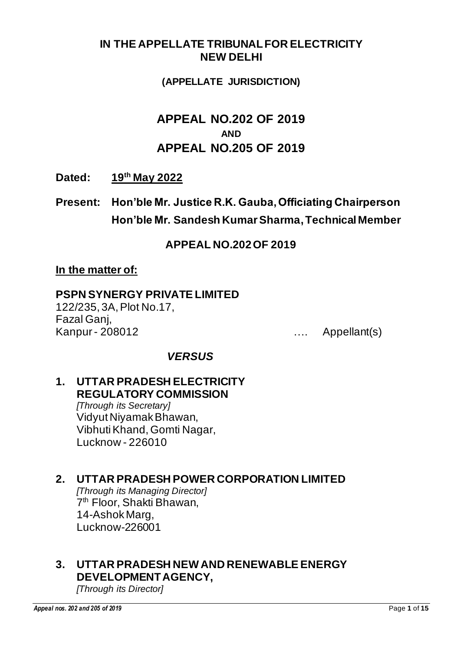### **IN THE APPELLATE TRIBUNAL FOR ELECTRICITY NEW DELHI**

#### **(APPELLATE JURISDICTION)**

# **APPEAL NO.202 OF 2019 AND APPEAL NO.205 OF 2019**

**Dated: 19th May 2022**

**Present: Hon'ble Mr. Justice R.K. Gauba, Officiating Chairperson Hon'ble Mr. Sandesh Kumar Sharma, Technical Member**

### **APPEAL NO.202 OF 2019**

#### **In the matter of:**

#### **PSPN SYNERGY PRIVATE LIMITED**

122/235, 3A, Plot No.17, Fazal Ganj, Kanpur - 208012 …. Appellant(s)

### *VERSUS*

# **1. UTTAR PRADESH ELECTRICITY REGULATORY COMMISSION**

*[Through its Secretary]* Vidyut Niyamak Bhawan, Vibhuti Khand, Gomti Nagar, Lucknow - 226010

### **2. UTTAR PRADESH POWER CORPORATION LIMITED**

*[Through its Managing Director]* 7 th Floor, Shakti Bhawan, 14-Ashok Marg, Lucknow-226001

### **3. UTTAR PRADESH NEW AND RENEWABLE ENERGY DEVELOPMENT AGENCY,**

*[Through its Director]*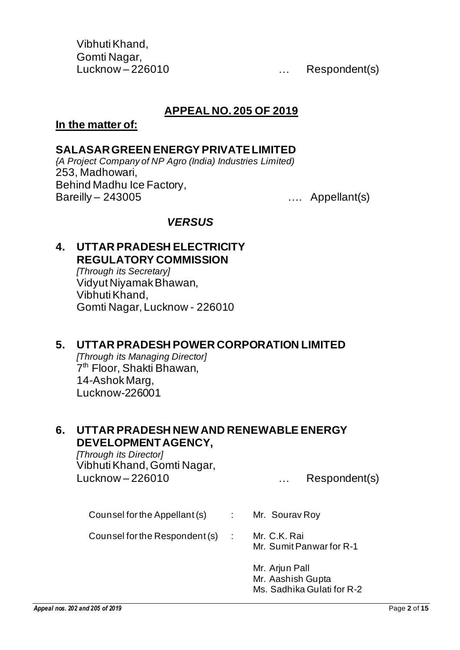Vibhuti Khand, Gomti Nagar,

Lucknow – 226010 [19] [19] [19] [19] Lucknow – 226010

### **APPEAL NO. 205 OF 2019**

#### **In the matter of:**

#### **SALASAR GREEN ENERGY PRIVATE LIMITED**

*{A Project Company of NP Agro (India) Industries Limited)* 253, Madhowari, Behind Madhu Ice Factory, Bareilly – 243005 …. Appellant(s)

#### *VERSUS*

### **4. UTTAR PRADESH ELECTRICITY REGULATORY COMMISSION**

*[Through its Secretary]* Vidyut Niyamak Bhawan, Vibhuti Khand, Gomti Nagar, Lucknow - 226010

#### **5. UTTAR PRADESH POWER CORPORATION LIMITED**

*[Through its Managing Director]* 7 th Floor, Shakti Bhawan, 14-Ashok Marg, Lucknow-226001

#### **6. UTTAR PRADESH NEW AND RENEWABLE ENERGY DEVELOPMENT AGENCY,**

*[Through its Director]* Vibhuti Khand, Gomti Nagar, Lucknow – 226010 metal metal was separated to the Respondent (s)

Counsel for the Appellant (s) : Mr. Sourav Roy

Counsel for the Respondent (s) : Mr. C.K. Rai

Mr. Sumit Panwar for R-1

Mr. Arjun Pall Mr. Aashish Gupta Ms. Sadhika Gulati for R-2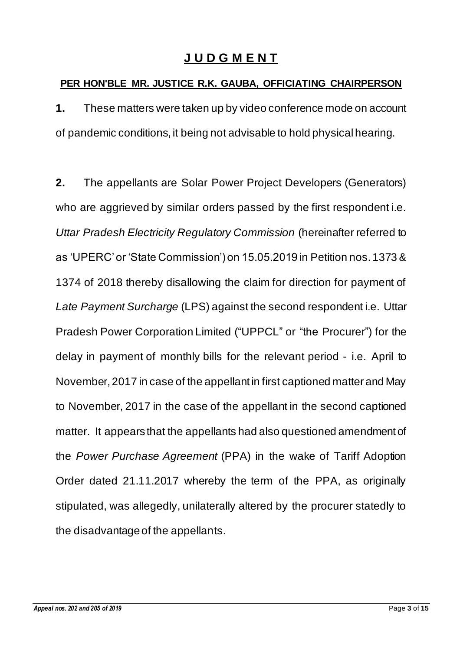# **J U D G M E N T**

### **PER HON'BLE MR. JUSTICE R.K. GAUBA, OFFICIATING CHAIRPERSON**

**1.** These matters were taken up by video conference mode on account of pandemic conditions, it being not advisable to hold physical hearing.

**2.** The appellants are Solar Power Project Developers (Generators) who are aggrieved by similar orders passed by the first respondent i.e. *Uttar Pradesh Electricity Regulatory Commission* (hereinafter referred to as 'UPERC' or 'State Commission') on 15.05.2019 in Petition nos. 1373 & 1374 of 2018 thereby disallowing the claim for direction for payment of *Late Payment Surcharge* (LPS) against the second respondent i.e. Uttar Pradesh Power Corporation Limited ("UPPCL" or "the Procurer") for the delay in payment of monthly bills for the relevant period - i.e. April to November, 2017 in case of the appellant in first captioned matter and May to November, 2017 in the case of the appellant in the second captioned matter. It appears that the appellants had also questioned amendment of the *Power Purchase Agreement* (PPA) in the wake of Tariff Adoption Order dated 21.11.2017 whereby the term of the PPA, as originally stipulated, was allegedly, unilaterally altered by the procurer statedly to the disadvantage of the appellants.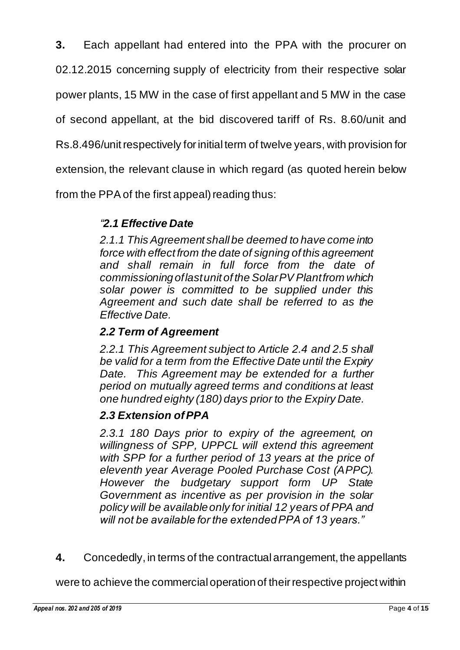**3.** Each appellant had entered into the PPA with the procurer on

02.12.2015 concerning supply of electricity from their respective solar

power plants, 15 MW in the case of first appellant and 5 MW in the case

of second appellant, at the bid discovered tariff of Rs. 8.60/unit and

Rs.8.496/unit respectively for initial term of twelve years, with provision for

extension, the relevant clause in which regard (as quoted herein below

from the PPA of the first appeal) reading thus:

### *"2.1 Effective Date*

*2.1.1 This Agreement shall be deemed to have come into force with effect from the date of signing of this agreement and shall remain in full force from the date of commissioning oflastunit of the SolarPV Plantfrom which solar power is committed to be supplied under this Agreement and such date shall be referred to as the Effective Date.*

### *2.2 Term of Agreement*

*2.2.1 This Agreement subject to Article 2.4 and 2.5 shall be valid for a term from the Effective Date until the Expiry Date. This Agreement may be extended for a further period on mutually agreed terms and conditions at least one hundred eighty (180) days prior to the Expiry Date.*

### *2.3 Extension of PPA*

*2.3.1 180 Days prior to expiry of the agreement, on willingness of SPP, UPPCL will extend this agreement with SPP for a further period of 13 years at the price of eleventh year Average Pooled Purchase Cost (APPC). However the budgetary support form UP State Government as incentive as per provision in the solar policy will be available only for initial 12 years of PPA and will not be available for the extended PPA of 13 years."*

**4.** Concededly, in terms of the contractual arrangement, the appellants

were to achieve the commercial operation of their respective project within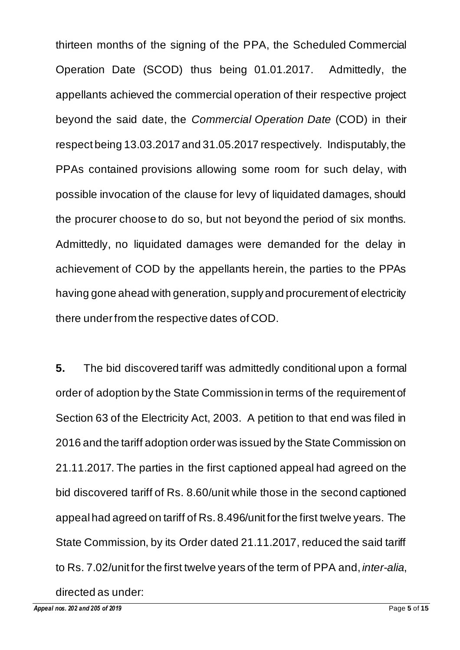thirteen months of the signing of the PPA, the Scheduled Commercial Operation Date (SCOD) thus being 01.01.2017. Admittedly, the appellants achieved the commercial operation of their respective project beyond the said date, the *Commercial Operation Date* (COD) in their respect being 13.03.2017 and 31.05.2017 respectively. Indisputably, the PPAs contained provisions allowing some room for such delay, with possible invocation of the clause for levy of liquidated damages, should the procurer choose to do so, but not beyond the period of six months. Admittedly, no liquidated damages were demanded for the delay in achievement of COD by the appellants herein, the parties to the PPAs having gone ahead with generation, supply and procurement of electricity there under from the respective dates of COD.

**5.** The bid discovered tariff was admittedly conditional upon a formal order of adoption by the State Commission in terms of the requirement of Section 63 of the Electricity Act, 2003. A petition to that end was filed in 2016 and the tariff adoption order was issued by the State Commission on 21.11.2017. The parties in the first captioned appeal had agreed on the bid discovered tariff of Rs. 8.60/unit while those in the second captioned appeal had agreed on tariff of Rs. 8.496/unit for the first twelve years. The State Commission, by its Order dated 21.11.2017, reduced the said tariff to Rs. 7.02/unit for the first twelve years of the term of PPA and, *inter-alia*, directed as under: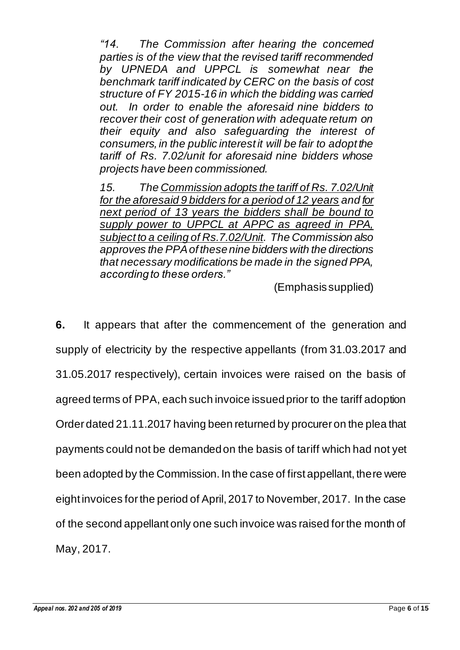*"14. The Commission after hearing the concerned parties is of the view that the revised tariff recommended by UPNEDA and UPPCL is somewhat near the benchmark tariff indicated by CERC on the basis of cost structure of FY 2015-16 in which the bidding was carried out. In order to enable the aforesaid nine bidders to recover their cost of generation with adequate return on their equity and also safeguarding the interest of consumers, in the public interest it will be fair to adopt the tariff of Rs. 7.02/unit for aforesaid nine bidders whose projects have been commissioned.*

*15. The Commission adopts the tariff of Rs. 7.02/Unit for the aforesaid 9 bidders for a period of 12 years and for next period of 13 years the bidders shall be bound to supply power to UPPCL at APPC as agreed in PPA, subject to a ceiling of Rs.7.02/Unit. The Commission also approves the PPA of these nine bidders with the directions that necessary modifications be made in the signed PPA, according to these orders."*

(Emphasis supplied)

**6.** It appears that after the commencement of the generation and supply of electricity by the respective appellants (from 31.03.2017 and 31.05.2017 respectively), certain invoices were raised on the basis of agreed terms of PPA, each such invoice issued prior to the tariff adoption Order dated 21.11.2017 having been returned by procurer on the plea that payments could not be demanded on the basis of tariff which had not yet been adopted by the Commission. In the case of first appellant, there were eight invoices for the period of April, 2017 to November, 2017. In the case of the second appellant only one such invoice was raised for the month of May, 2017.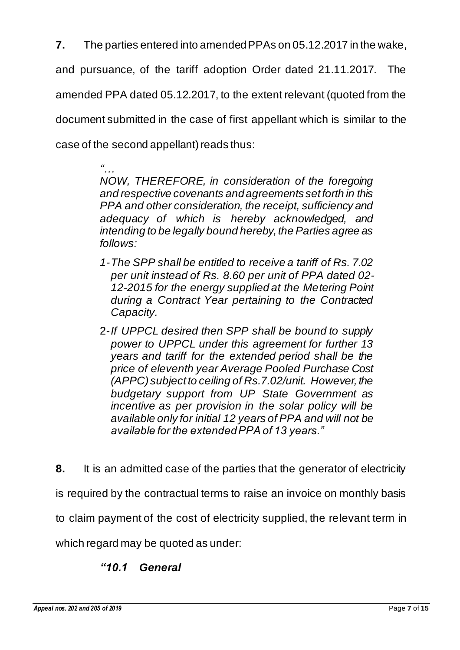**7.** The parties entered into amended PPAs on 05.12.2017 in the wake,

and pursuance, of the tariff adoption Order dated 21.11.2017. The

amended PPA dated 05.12.2017, to the extent relevant (quoted from the

document submitted in the case of first appellant which is similar to the

case of the second appellant) reads thus:

*"… NOW, THEREFORE, in consideration of the foregoing and respective covenants and agreements set forth in this PPA and other consideration, the receipt, sufficiency and adequacy of which is hereby acknowledged, and intending to be legally bound hereby, the Parties agree as follows:*

- *1-The SPP shall be entitled to receive a tariff of Rs. 7.02 per unit instead of Rs. 8.60 per unit of PPA dated 02- 12-2015 for the energy supplied at the Metering Point during a Contract Year pertaining to the Contracted Capacity.*
- 2-*If UPPCL desired then SPP shall be bound to supply power to UPPCL under this agreement for further 13 years and tariff for the extended period shall be the price of eleventh year Average Pooled Purchase Cost (APPC) subject to ceiling of Rs.7.02/unit. However, the budgetary support from UP State Government as incentive as per provision in the solar policy will be available only for initial 12 years of PPA and will not be available for the extended PPA of 13 years."*
- **8.** It is an admitted case of the parties that the generator of electricity

is required by the contractual terms to raise an invoice on monthly basis

to claim payment of the cost of electricity supplied, the relevant term in

which regard may be quoted as under:

## *"10.1 General*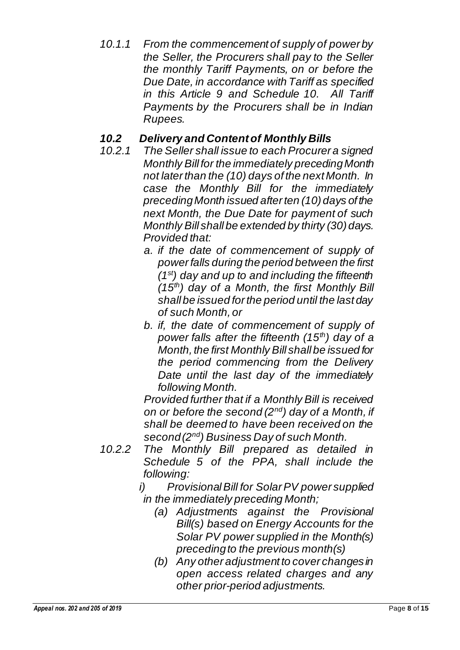*10.1.1 From the commencement of supply of power by the Seller, the Procurers shall pay to the Seller the monthly Tariff Payments, on or before the Due Date, in accordance with Tariff as specified in this Article 9 and Schedule 10. All Tariff Payments by the Procurers shall be in Indian Rupees.*

## *10.2 Delivery and Content of Monthly Bills*

- *10.2.1 The Seller shall issue to each Procurer a signed Monthly Bill for the immediately preceding Month not later than the (10) days of the next Month. In case the Monthly Bill for the immediately preceding Month issued after ten (10) days of the next Month, the Due Date for payment of such Monthly Bill shall be extended by thirty (30) days. Provided that:*
	- *a. if the date of commencement of supply of power falls during the period between the first (1st) day and up to and including the fifteenth (15th) day of a Month, the first Monthly Bill shall be issued for the period until the last day of such Month, or*
	- *b. if, the date of commencement of supply of power falls after the fifteenth (15th) day of a Month, the first Monthly Bill shall be issued for the period commencing from the Delivery Date until the last day of the immediately following Month.*

*Provided further that if a Monthly Bill is received on or before the second (2nd) day of a Month, if shall be deemed to have been received on the second (2nd) Business Day of such Month.*

- *10.2.2 The Monthly Bill prepared as detailed in Schedule 5 of the PPA, shall include the following:*
	- *i) Provisional Bill for Solar PV power supplied in the immediately preceding Month;*
		- *(a) Adjustments against the Provisional Bill(s) based on Energy Accounts for the Solar PV power supplied in the Month(s) preceding to the previous month(s)*
		- *(b) Any other adjustment to cover changes in open access related charges and any other prior-period adjustments.*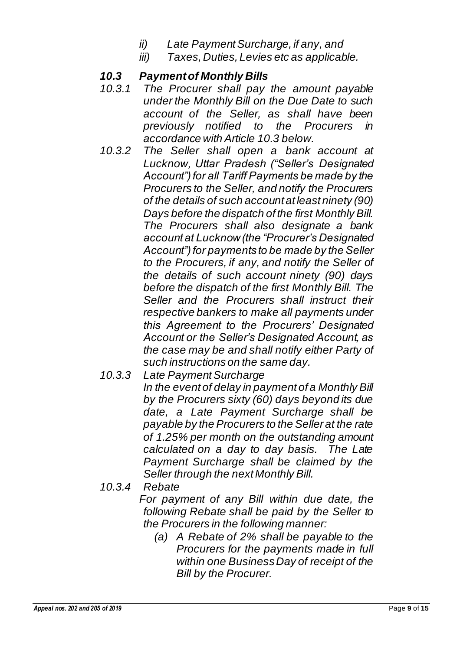- *ii) Late Payment Surcharge, if any, and*
- *iii) Taxes, Duties, Levies etc as applicable.*

## *10.3 Payment of Monthly Bills*

- *10.3.1 The Procurer shall pay the amount payable under the Monthly Bill on the Due Date to such account of the Seller, as shall have been previously notified to the Procurers in accordance with Article 10.3 below.*
- *10.3.2 The Seller shall open a bank account at Lucknow, Uttar Pradesh ("Seller's Designated Account") for all Tariff Payments be made by the Procurers to the Seller, and notify the Procurers of the details of such account at least ninety (90) Days before the dispatch of the first Monthly Bill. The Procurers shall also designate a bank account at Lucknow (the "Procurer's Designated Account") for payments to be made by the Seller to the Procurers, if any, and notify the Seller of the details of such account ninety (90) days before the dispatch of the first Monthly Bill. The Seller and the Procurers shall instruct their respective bankers to make all payments under this Agreement to the Procurers' Designated Account or the Seller's Designated Account, as the case may be and shall notify either Party of such instructions on the same day.*
- *10.3.3 Late Payment Surcharge In the event of delay in payment of a Monthly Bill by the Procurers sixty (60) days beyond its due date, a Late Payment Surcharge shall be payable by the Procurers to the Seller at the rate of 1.25% per month on the outstanding amount calculated on a day to day basis. The Late Payment Surcharge shall be claimed by the Seller through the next Monthly Bill.*
- *10.3.4 Rebate*

*For payment of any Bill within due date, the following Rebate shall be paid by the Seller to the Procurers in the following manner:*

*(a) A Rebate of 2% shall be payable to the Procurers for the payments made in full within one Business Day of receipt of the Bill by the Procurer.*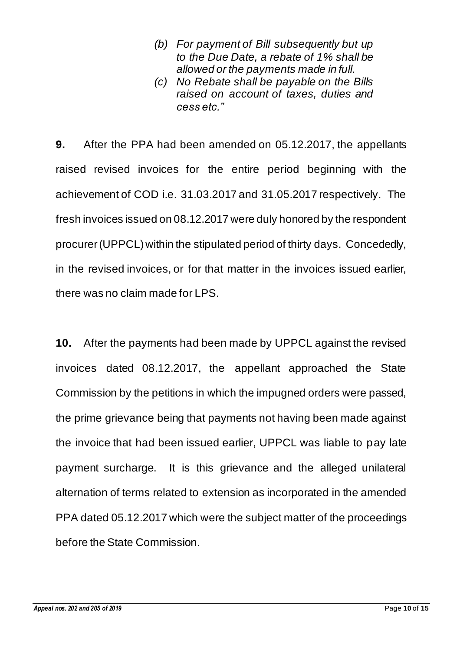- *(b) For payment of Bill subsequently but up to the Due Date, a rebate of 1% shall be allowed or the payments made in full.*
- *(c) No Rebate shall be payable on the Bills raised on account of taxes, duties and cess etc."*

**9.** After the PPA had been amended on 05.12.2017, the appellants raised revised invoices for the entire period beginning with the achievement of COD i.e. 31.03.2017 and 31.05.2017 respectively. The fresh invoices issued on 08.12.2017 were duly honored by the respondent procurer (UPPCL) within the stipulated period of thirty days. Concededly, in the revised invoices, or for that matter in the invoices issued earlier, there was no claim made for LPS.

**10.** After the payments had been made by UPPCL against the revised invoices dated 08.12.2017, the appellant approached the State Commission by the petitions in which the impugned orders were passed, the prime grievance being that payments not having been made against the invoice that had been issued earlier, UPPCL was liable to pay late payment surcharge. It is this grievance and the alleged unilateral alternation of terms related to extension as incorporated in the amended PPA dated 05.12.2017 which were the subject matter of the proceedings before the State Commission.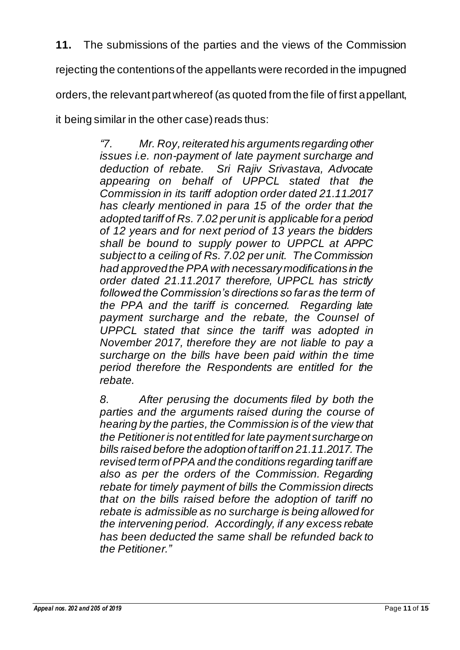**11.** The submissions of the parties and the views of the Commission

rejecting the contentions of the appellants were recorded in the impugned

orders, the relevant part whereof (as quoted from the file of first appellant,

it being similar in the other case) reads thus:

*"7. Mr. Roy, reiterated his arguments regarding other issues i.e. non-payment of late payment surcharge and deduction of rebate. Sri Rajiv Srivastava, Advocate appearing on behalf of UPPCL stated that the Commission in its tariff adoption order dated 21.11.2017 has clearly mentioned in para 15 of the order that the adopted tariff of Rs. 7.02 per unit is applicable for a period of 12 years and for next period of 13 years the bidders shall be bound to supply power to UPPCL at APPC subject to a ceiling of Rs. 7.02 per unit. The Commission had approved the PPA with necessary modifications in the order dated 21.11.2017 therefore, UPPCL has strictly followed the Commission's directions so far as the term of the PPA and the tariff is concerned. Regarding late payment surcharge and the rebate, the Counsel of UPPCL stated that since the tariff was adopted in November 2017, therefore they are not liable to pay a surcharge on the bills have been paid within the time period therefore the Respondents are entitled for the rebate.*

*8. After perusing the documents filed by both the parties and the arguments raised during the course of hearing by the parties, the Commission is of the view that the Petitioner is not entitled for late payment surcharge on bills raised before the adoption of tariff on 21.11.2017. The revised term of PPA and the conditions regarding tariff are also as per the orders of the Commission. Regarding rebate for timely payment of bills the Commission directs that on the bills raised before the adoption of tariff no rebate is admissible as no surcharge is being allowed for the intervening period. Accordingly, if any excess rebate has been deducted the same shall be refunded back to the Petitioner."*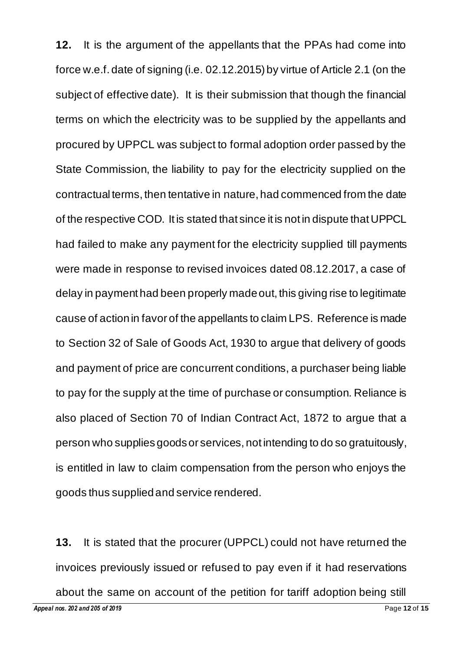**12.** It is the argument of the appellants that the PPAs had come into force w.e.f. date of signing (i.e. 02.12.2015) by virtue of Article 2.1 (on the subject of effective date). It is their submission that though the financial terms on which the electricity was to be supplied by the appellants and procured by UPPCL was subject to formal adoption order passed by the State Commission, the liability to pay for the electricity supplied on the contractual terms, then tentative in nature, had commenced from the date of the respective COD. It is stated that since it is not in dispute that UPPCL had failed to make any payment for the electricity supplied till payments were made in response to revised invoices dated 08.12.2017, a case of delay in payment had been properly made out, this giving rise to legitimate cause of action in favor of the appellants to claim LPS. Reference is made to Section 32 of Sale of Goods Act, 1930 to argue that delivery of goods and payment of price are concurrent conditions, a purchaser being liable to pay for the supply at the time of purchase or consumption. Reliance is also placed of Section 70 of Indian Contract Act, 1872 to argue that a person who suppliesgoods or services, not intending to do so gratuitously, is entitled in law to claim compensation from the person who enjoys the goods thus supplied and service rendered.

*Appeal nos. 202 and 205 of 2019* Page **12** of **15 13.** It is stated that the procurer (UPPCL) could not have returned the invoices previously issued or refused to pay even if it had reservations about the same on account of the petition for tariff adoption being still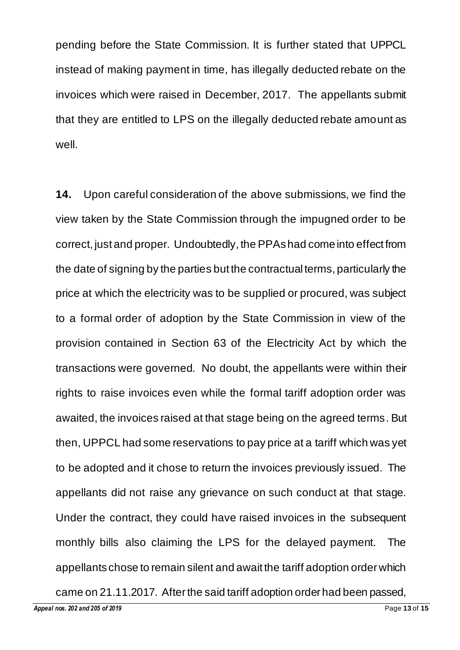pending before the State Commission. It is further stated that UPPCL instead of making payment in time, has illegally deducted rebate on the invoices which were raised in December, 2017. The appellants submit that they are entitled to LPS on the illegally deducted rebate amount as well.

**14.** Upon careful consideration of the above submissions, we find the view taken by the State Commission through the impugned order to be correct, just and proper. Undoubtedly, the PPAs had come into effect from the date of signing by the parties but the contractual terms, particularly the price at which the electricity was to be supplied or procured, was subject to a formal order of adoption by the State Commission in view of the provision contained in Section 63 of the Electricity Act by which the transactions were governed. No doubt, the appellants were within their rights to raise invoices even while the formal tariff adoption order was awaited, the invoices raised at that stage being on the agreed terms. But then, UPPCL had some reservations to pay price at a tariff which was yet to be adopted and it chose to return the invoices previously issued. The appellants did not raise any grievance on such conduct at that stage. Under the contract, they could have raised invoices in the subsequent monthly bills also claiming the LPS for the delayed payment. The appellants chose to remain silent and await the tariff adoption order which

came on 21.11.2017. After the said tariff adoption order had been passed,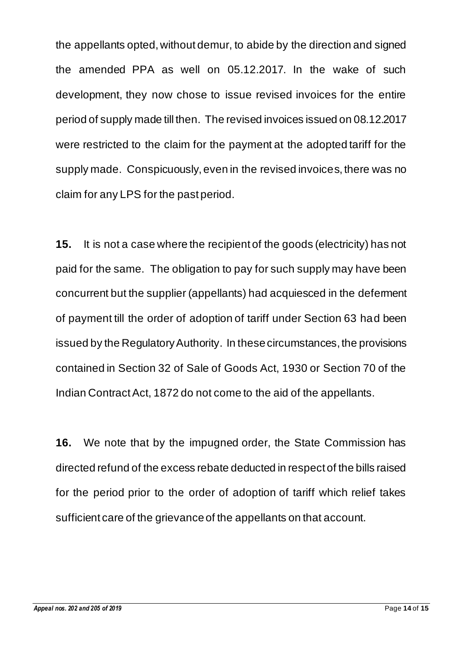the appellants opted, without demur, to abide by the direction and signed the amended PPA as well on 05.12.2017. In the wake of such development, they now chose to issue revised invoices for the entire period of supply made till then. The revised invoices issued on 08.12.2017 were restricted to the claim for the payment at the adopted tariff for the supply made. Conspicuously, even in the revised invoices, there was no claim for any LPS for the past period.

**15.** It is not a case where the recipient of the goods (electricity) has not paid for the same. The obligation to pay for such supply may have been concurrent but the supplier (appellants) had acquiesced in the deferment of payment till the order of adoption of tariff under Section 63 had been issued by the Regulatory Authority. In these circumstances, the provisions contained in Section 32 of Sale of Goods Act, 1930 or Section 70 of the Indian Contract Act, 1872 do not come to the aid of the appellants.

**16.** We note that by the impugned order, the State Commission has directed refund of the excess rebate deducted in respect of the bills raised for the period prior to the order of adoption of tariff which relief takes sufficient care of the grievance of the appellants on that account.